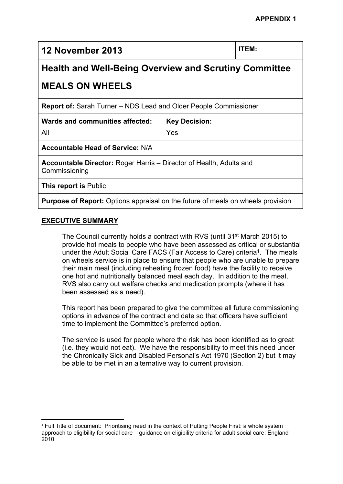**12 November 2013 ITEM:**

# **Health and Well-Being Overview and Scrutiny Committee**

# **MEALS ON WHEELS**

**Report of:** Sarah Turner – NDS Lead and Older People Commissioner

| Wards and communities affected: | <b>Key Decision:</b> |
|---------------------------------|----------------------|
| All                             | Yes                  |

**Accountable Head of Service:** N/A

**Accountable Director:** Roger Harris – Director of Health, Adults and Commissioning

**This report is** Public

**Purpose of Report:** Options appraisal on the future of meals on wheels provision

# **EXECUTIVE SUMMARY**

The Council currently holds a contract with RVS (until 31<sup>st</sup> March 2015) to provide hot meals to people who have been assessed as critical or substantial under the Adult Social Care FACS (Fair Access to Care) criteria<sup>1</sup>. The meals on wheels service is in place to ensure that people who are unable to prepare their main meal (including reheating frozen food) have the facility to receive one hot and nutritionally balanced meal each day. In addition to the meal, RVS also carry out welfare checks and medication prompts (where it has been assessed as a need).

This report has been prepared to give the committee all future commissioning options in advance of the contract end date so that officers have sufficient time to implement the Committee's preferred option.

The service is used for people where the risk has been identified as to great (i.e. they would not eat). We have the responsibility to meet this need under the Chronically Sick and Disabled Personal's Act 1970 (Section 2) but it may be able to be met in an alternative way to current provision.

 $<sup>1</sup>$  Full Title of document: Prioritising need in the context of Putting People First: a whole system</sup> approach to eligibility for social care – guidance on eligibility criteria for adult social care: England 2010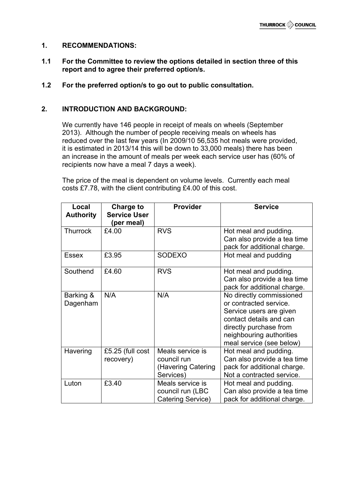#### **1. RECOMMENDATIONS:**

- **1.1 For the Committee to review the options detailed in section three of this report and to agree their preferred option/s.**
- **1.2 For the preferred option/s to go out to public consultation.**

#### **2. INTRODUCTION AND BACKGROUND:**

We currently have 146 people in receipt of meals on wheels (September 2013). Although the number of people receiving meals on wheels has reduced over the last few years (In 2009/10 56,535 hot meals were provided, it is estimated in 2013/14 this will be down to 33,000 meals) there has been an increase in the amount of meals per week each service user has (60% of recipients now have a meal 7 days a week).

The price of the meal is dependent on volume levels. Currently each meal costs £7.78, with the client contributing £4.00 of this cost.

| Local<br><b>Authority</b> | Charge to<br><b>Service User</b><br>(per meal) | <b>Provider</b>                                                    | <b>Service</b>                                                                                                                                                                             |
|---------------------------|------------------------------------------------|--------------------------------------------------------------------|--------------------------------------------------------------------------------------------------------------------------------------------------------------------------------------------|
| <b>Thurrock</b>           | £4.00                                          | <b>RVS</b>                                                         | Hot meal and pudding.<br>Can also provide a tea time<br>pack for additional charge.                                                                                                        |
| <b>Essex</b>              | £3.95                                          | <b>SODEXO</b>                                                      | Hot meal and pudding                                                                                                                                                                       |
| Southend                  | £4.60                                          | <b>RVS</b>                                                         | Hot meal and pudding.<br>Can also provide a tea time<br>pack for additional charge.                                                                                                        |
| Barking &<br>Dagenham     | N/A                                            | N/A                                                                | No directly commissioned<br>or contracted service.<br>Service users are given<br>contact details and can<br>directly purchase from<br>neighbouring authorities<br>meal service (see below) |
| Havering                  | £5.25 (full cost<br>recovery)                  | Meals service is<br>council run<br>(Havering Catering<br>Services) | Hot meal and pudding.<br>Can also provide a tea time<br>pack for additional charge.<br>Not a contracted service.                                                                           |
| Luton                     | £3.40                                          | Meals service is<br>council run (LBC<br>Catering Service)          | Hot meal and pudding.<br>Can also provide a tea time<br>pack for additional charge.                                                                                                        |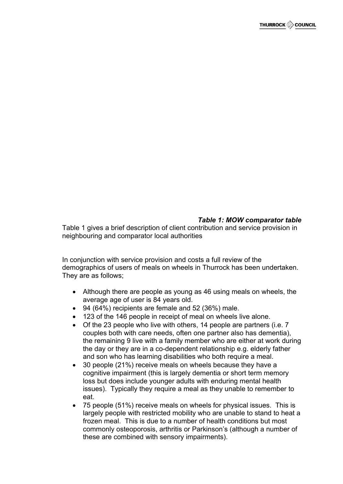### *Table 1: MOW comparator table*

Table 1 gives a brief description of client contribution and service provision in neighbouring and comparator local authorities

In conjunction with service provision and costs a full review of the demographics of users of meals on wheels in Thurrock has been undertaken. They are as follows;

- Although there are people as young as 46 using meals on wheels, the average age of user is 84 years old.
- 94 (64%) recipients are female and 52 (36%) male.
- 123 of the 146 people in receipt of meal on wheels live alone.
- Of the 23 people who live with others, 14 people are partners (i.e. 7 couples both with care needs, often one partner also has dementia), the remaining 9 live with a family member who are either at work during the day or they are in a co-dependent relationship e.g. elderly father and son who has learning disabilities who both require a meal.
- 30 people (21%) receive meals on wheels because they have a cognitive impairment (this is largely dementia or short term memory loss but does include younger adults with enduring mental health issues). Typically they require a meal as they unable to remember to eat.
- 75 people (51%) receive meals on wheels for physical issues. This is largely people with restricted mobility who are unable to stand to heat a frozen meal. This is due to a number of health conditions but most commonly osteoporosis, arthritis or Parkinson's (although a number of these are combined with sensory impairments).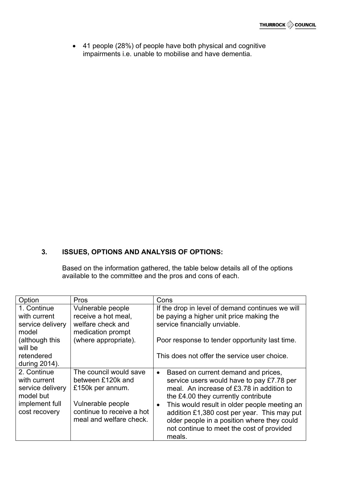41 people (28%) of people have both physical and cognitive impairments i.e. unable to mobilise and have dementia.

# **3. ISSUES, OPTIONS AND ANALYSIS OF OPTIONS:**

Based on the information gathered, the table below details all of the options available to the committee and the pros and cons of each.

| Option                  | <b>Pros</b>                                 | Cons                                                      |
|-------------------------|---------------------------------------------|-----------------------------------------------------------|
| 1. Continue             | Vulnerable people                           | If the drop in level of demand continues we will          |
| with current            | receive a hot meal,                         | be paying a higher unit price making the                  |
| service delivery        | welfare check and                           | service financially unviable.                             |
| model                   | medication prompt                           |                                                           |
| (although this          | (where appropriate).                        | Poor response to tender opportunity last time.            |
| will be                 |                                             |                                                           |
| retendered              |                                             | This does not offer the service user choice.              |
| during 2014).           |                                             |                                                           |
| 2. Continue             | The council would save                      | Based on current demand and prices,<br>$\bullet$          |
| with current            | between £120k and                           | service users would have to pay £7.78 per                 |
| service delivery        | £150k per annum.                            | meal. An increase of £3.78 in addition to                 |
| model but               |                                             | the £4.00 they currently contribute                       |
| implement full          | Vulnerable people                           | This would result in older people meeting an<br>$\bullet$ |
| cost recovery           | continue to receive a hot                   | addition £1,380 cost per year. This may put               |
| meal and welfare check. | older people in a position where they could |                                                           |
|                         |                                             | not continue to meet the cost of provided                 |
|                         |                                             | meals.                                                    |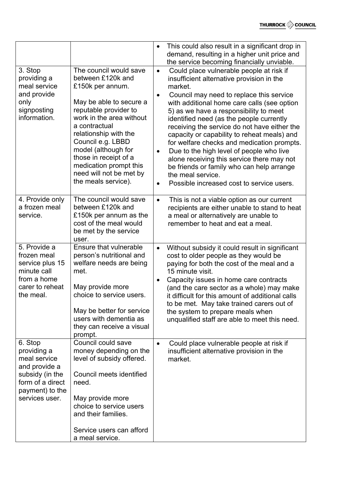|                                                                                                                                     |                                                                                                                                                                                                                                                                                                                                            | $\bullet$                                        | This could also result in a significant drop in<br>demand, resulting in a higher unit price and<br>the service becoming financially unviable.                                                                                                                                                                                                                                                                                                                                                                                                                                                                                           |
|-------------------------------------------------------------------------------------------------------------------------------------|--------------------------------------------------------------------------------------------------------------------------------------------------------------------------------------------------------------------------------------------------------------------------------------------------------------------------------------------|--------------------------------------------------|-----------------------------------------------------------------------------------------------------------------------------------------------------------------------------------------------------------------------------------------------------------------------------------------------------------------------------------------------------------------------------------------------------------------------------------------------------------------------------------------------------------------------------------------------------------------------------------------------------------------------------------------|
| 3. Stop<br>providing a<br>meal service<br>and provide<br>only<br>signposting<br>information.                                        | The council would save<br>between £120k and<br>£150k per annum.<br>May be able to secure a<br>reputable provider to<br>work in the area without<br>a contractual<br>relationship with the<br>Council e.g. LBBD<br>model (although for<br>those in receipt of a<br>medication prompt this<br>need will not be met by<br>the meals service). | $\bullet$<br>$\bullet$<br>$\bullet$<br>$\bullet$ | Could place vulnerable people at risk if<br>insufficient alternative provision in the<br>market.<br>Council may need to replace this service<br>with additional home care calls (see option<br>5) as we have a responsibility to meet<br>identified need (as the people currently<br>receiving the service do not have either the<br>capacity or capability to reheat meals) and<br>for welfare checks and medication prompts.<br>Due to the high level of people who live<br>alone receiving this service there may not<br>be friends or family who can help arrange<br>the meal service.<br>Possible increased cost to service users. |
| 4. Provide only<br>a frozen meal<br>service.                                                                                        | The council would save<br>between £120k and<br>£150k per annum as the<br>cost of the meal would<br>be met by the service<br>user.                                                                                                                                                                                                          | $\bullet$                                        | This is not a viable option as our current<br>recipients are either unable to stand to heat<br>a meal or alternatively are unable to<br>remember to heat and eat a meal.                                                                                                                                                                                                                                                                                                                                                                                                                                                                |
| 5. Provide a<br>frozen meal<br>service plus 15<br>minute call<br>from a home<br>carer to reheat<br>the meal.                        | Ensure that vulnerable<br>person's nutritional and<br>welfare needs are being<br>met.<br>May provide more<br>choice to service users.<br>May be better for service<br>users with dementia as<br>they can receive a visual<br>prompt.                                                                                                       | $\bullet$                                        | Without subsidy it could result in significant<br>cost to older people as they would be<br>paying for both the cost of the meal and a<br>15 minute visit.<br>Capacity issues in home care contracts<br>(and the care sector as a whole) may make<br>it difficult for this amount of additional calls<br>to be met. May take trained carers out of<br>the system to prepare meals when<br>unqualified staff are able to meet this need.                                                                                                                                                                                                  |
| 6. Stop<br>providing a<br>meal service<br>and provide a<br>subsidy (in the<br>form of a direct<br>payment) to the<br>services user. | Council could save<br>money depending on the<br>level of subsidy offered.<br>Council meets identified<br>need.<br>May provide more<br>choice to service users<br>and their families.<br>Service users can afford<br>a meal service.                                                                                                        | $\bullet$                                        | Could place vulnerable people at risk if<br>insufficient alternative provision in the<br>market.                                                                                                                                                                                                                                                                                                                                                                                                                                                                                                                                        |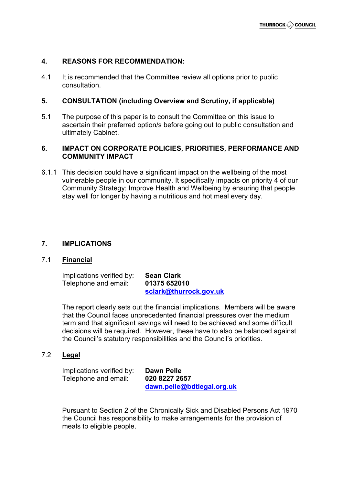#### **4. REASONS FOR RECOMMENDATION:**

4.1 It is recommended that the Committee review all options prior to public consultation.

#### **5. CONSULTATION (including Overview and Scrutiny, if applicable)**

5.1 The purpose of this paper is to consult the Committee on this issue to ascertain their preferred option/s before going out to public consultation and ultimately Cabinet.

#### **6. IMPACT ON CORPORATE POLICIES, PRIORITIES, PERFORMANCE AND COMMUNITY IMPACT**

6.1.1 This decision could have a significant impact on the wellbeing of the most vulnerable people in our community. It specifically impacts on priority 4 of our Community Strategy; Improve Health and Wellbeing by ensuring that people stay well for longer by having a nutritious and hot meal every day.

#### **7. IMPLICATIONS**

#### 7.1 **Financial**

Implications verified by: **Sean Clark** Telephone and email: **01375 652010**

**[sclark@thurrock.gov.uk](mailto:sclark@thurrock.gov.uk)**

The report clearly sets out the financial implications. Members will be aware that the Council faces unprecedented financial pressures over the medium term and that significant savings will need to be achieved and some difficult decisions will be required. However, these have to also be balanced against the Council's statutory responsibilities and the Council's priorities.

#### 7.2 **Legal**

Implications verified by: **Dawn Pelle** Telephone and email: **020 8227 2657**

**[dawn.pelle@bdtlegal.org.uk](mailto:dawn.pelle@bdtlegal.org.uk)**

Pursuant to Section 2 of the Chronically Sick and Disabled Persons Act 1970 the Council has responsibility to make arrangements for the provision of meals to eligible people.